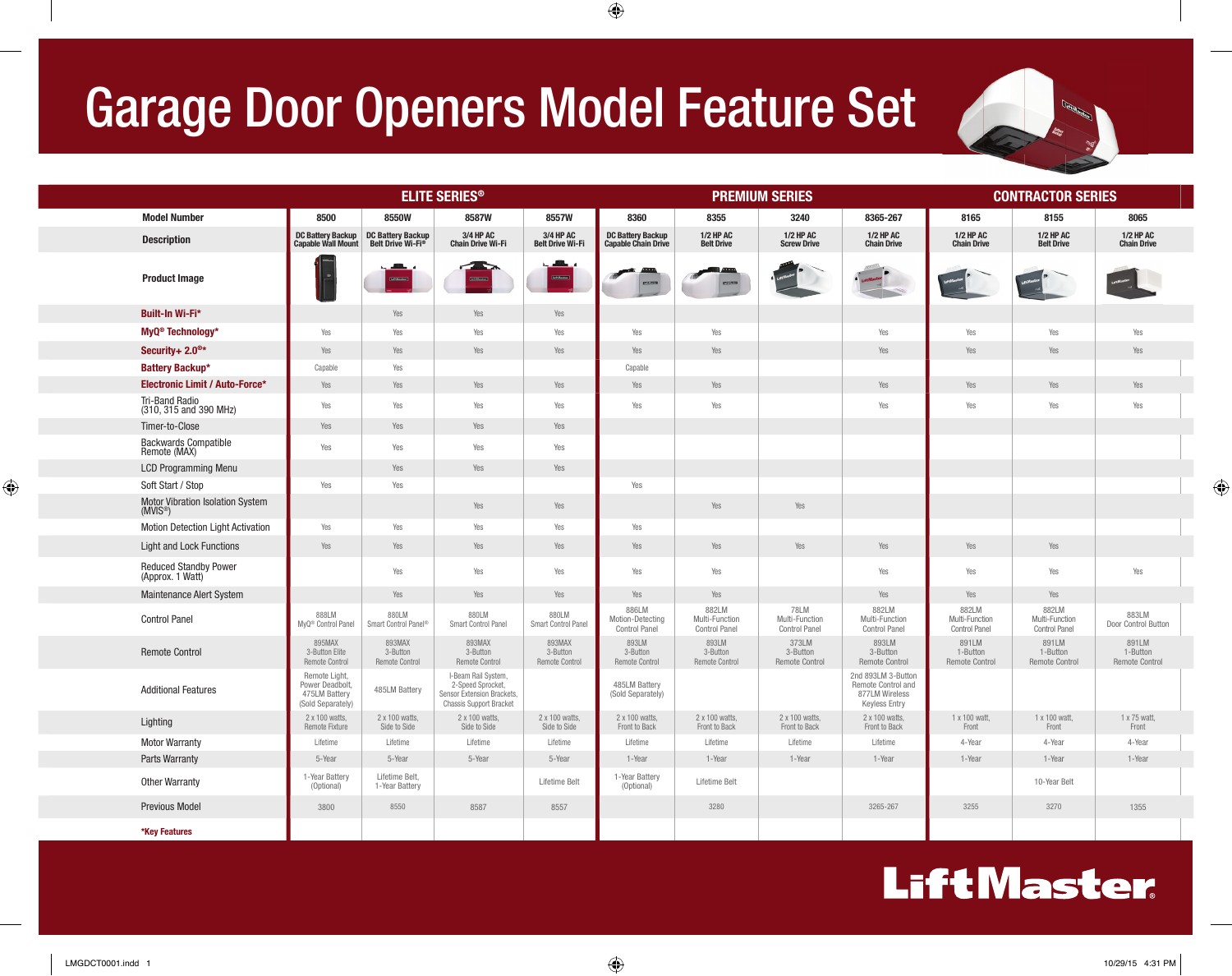## Garage Door Openers Model Feature Set

|                                                 | <b>ELITE SERIES<sup>®</sup></b>                                        |                                                           |                                                                                                          |                                             |                                                        |                                                 | <b>PREMIUM SERIES</b>                          | <b>CONTRACTOR SERIES</b>                                                           |                                                 |                                                 |                                            |
|-------------------------------------------------|------------------------------------------------------------------------|-----------------------------------------------------------|----------------------------------------------------------------------------------------------------------|---------------------------------------------|--------------------------------------------------------|-------------------------------------------------|------------------------------------------------|------------------------------------------------------------------------------------|-------------------------------------------------|-------------------------------------------------|--------------------------------------------|
| <b>Model Number</b>                             | 8500                                                                   | 8550W                                                     | 8587W                                                                                                    | 8557W                                       | 8360                                                   | 8355                                            | 3240                                           | 8365-267                                                                           | 8165                                            | 8155                                            | 8065                                       |
| <b>Description</b>                              | <b>DC Battery Backup</b><br><b>Capable Wall Mount</b>                  | <b>DC Battery Backup</b><br>Belt Drive Wi-Fi <sup>®</sup> | 3/4 HP AC<br><b>Chain Drive Wi-Fi</b>                                                                    | 3/4 HP AC<br><b>Belt Drive Wi-Fi</b>        | <b>DC Battery Backup</b><br><b>Capable Chain Drive</b> | <b>1/2 HP AC</b><br><b>Belt Drive</b>           | <b>1/2 HP AC</b><br><b>Screw Drive</b>         | <b>1/2 HP AC</b><br><b>Chain Drive</b>                                             | <b>1/2 HP AC</b><br><b>Chain Drive</b>          | <b>1/2 HP AC</b><br><b>Belt Drive</b>           | <b>1/2 HP AC</b><br><b>Chain Drive</b>     |
| <b>Product Image</b>                            |                                                                        | والتكاتب<br>tres Novem                                    |                                                                                                          | مطالعه<br><b>Continued</b>                  |                                                        |                                                 |                                                |                                                                                    | LiftMaster                                      | Littheaster Commercial                          |                                            |
| Built-In Wi-Fi*                                 |                                                                        | Yes                                                       | Yes                                                                                                      | Yes                                         |                                                        |                                                 |                                                |                                                                                    |                                                 |                                                 |                                            |
| MyQ <sup>®</sup> Technology*                    | Yes                                                                    | Yes                                                       | Yes                                                                                                      | Yes                                         | Yes                                                    | Yes                                             |                                                | Yes                                                                                | Yes                                             | Yes                                             | Yes                                        |
| Security+ $2.0^{\circ*}$                        | Yes                                                                    | Yes                                                       | Yes                                                                                                      | Yes                                         | Yes                                                    | Yes                                             |                                                | Yes                                                                                | Yes                                             | Yes                                             | Yes                                        |
| <b>Battery Backup*</b>                          | Capable                                                                | Yes                                                       |                                                                                                          |                                             | Capable                                                |                                                 |                                                |                                                                                    |                                                 |                                                 |                                            |
| <b>Electronic Limit / Auto-Force*</b>           | Yes                                                                    | Yes                                                       | Yes                                                                                                      | Yes                                         | Yes                                                    | Yes                                             |                                                | Yes                                                                                | Yes                                             | Yes                                             | Yes                                        |
| <b>Tri-Band Radio</b><br>(310, 315 and 390 MHz) | Yes                                                                    | Yes                                                       | Yes                                                                                                      | Yes                                         | Yes                                                    | Yes                                             |                                                | Yes                                                                                | Yes                                             | Yes                                             | Yes                                        |
| Timer-to-Close                                  | Yes                                                                    | Yes                                                       | Yes                                                                                                      | Yes                                         |                                                        |                                                 |                                                |                                                                                    |                                                 |                                                 |                                            |
| <b>Backwards Compatible</b><br>Remote (MAX)     | Yes                                                                    | Yes                                                       | Yes                                                                                                      | Yes                                         |                                                        |                                                 |                                                |                                                                                    |                                                 |                                                 |                                            |
| <b>LCD Programming Menu</b>                     |                                                                        | Yes                                                       | Yes                                                                                                      | Yes                                         |                                                        |                                                 |                                                |                                                                                    |                                                 |                                                 |                                            |
| Soft Start / Stop                               | Yes                                                                    | Yes                                                       |                                                                                                          |                                             | Yes                                                    |                                                 |                                                |                                                                                    |                                                 |                                                 |                                            |
| Motor Vibration Isolation System<br>(MVIS®)     |                                                                        |                                                           | Yes                                                                                                      | Yes                                         |                                                        | Yes                                             | Yes                                            |                                                                                    |                                                 |                                                 |                                            |
| <b>Motion Detection Light Activation</b>        | Yes                                                                    | Yes                                                       | Yes                                                                                                      | Yes                                         | Yes                                                    |                                                 |                                                |                                                                                    |                                                 |                                                 |                                            |
| <b>Light and Lock Functions</b>                 | Yes                                                                    | Yes                                                       | Yes                                                                                                      | Yes                                         | Yes                                                    | Yes                                             | Yes                                            | Yes                                                                                | Yes                                             | Yes                                             |                                            |
| Reduced Standby Power<br>(Approx. 1 Watt)       |                                                                        | Yes                                                       | Yes                                                                                                      | Yes                                         | Yes                                                    | Yes                                             |                                                | Yes                                                                                | Yes                                             | Yes                                             | Yes                                        |
| <b>Maintenance Alert System</b>                 |                                                                        | Yes                                                       | Yes                                                                                                      | Yes                                         | Yes                                                    | Yes                                             |                                                | Yes                                                                                | Yes                                             | Yes                                             |                                            |
| <b>Control Panel</b>                            | 888LM<br>MyQ <sup>®</sup> Control Panel                                | 880LM<br>Smart Control Panel®                             | 880LM<br>Smart Control Panel                                                                             | 880LM<br>Smart Control Panel                | 886LM<br>Motion-Detecting<br><b>Control Panel</b>      | 882LM<br>Multi-Function<br><b>Control Panel</b> | 78LM<br>Multi-Function<br><b>Control Panel</b> | 882LM<br>Multi-Function<br><b>Control Panel</b>                                    | 882LM<br>Multi-Function<br><b>Control Panel</b> | 882LM<br>Multi-Function<br><b>Control Panel</b> | 883LM<br>Door Control Button               |
| <b>Remote Control</b>                           | 895MAX<br>3-Button Elite<br>Remote Control                             | 893MAX<br>3-Button<br><b>Remote Control</b>               | 893MAX<br>3-Button<br><b>Remote Control</b>                                                              | 893MAX<br>3-Button<br><b>Remote Control</b> | 893LM<br>3-Button<br><b>Remote Control</b>             | 893LM<br>3-Button<br><b>Remote Control</b>      | 373LM<br>3-Button<br><b>Remote Control</b>     | 893LM<br>3-Button<br><b>Remote Control</b>                                         | 891LM<br>1-Button<br><b>Remote Control</b>      | 891LM<br>1-Button<br><b>Remote Control</b>      | 891LM<br>1-Button<br><b>Remote Control</b> |
| <b>Additional Features</b>                      | Remote Light,<br>Power Deadbolt,<br>475LM Battery<br>(Sold Separately) | 485LM Battery                                             | I-Beam Rail System,<br>2-Speed Sprocket,<br>Sensor Extension Brackets.<br><b>Chassis Support Bracket</b> |                                             | 485LM Battery<br>(Sold Separately)                     |                                                 |                                                | 2nd 893LM 3-Button<br>Remote Control and<br>877LM Wireless<br><b>Keyless Entry</b> |                                                 |                                                 |                                            |
| Lighting                                        | 2 x 100 watts,<br>Remote Fixture                                       | 2 x 100 watts.<br>Side to Side                            | 2 x 100 watts,<br>Side to Side                                                                           | 2 x 100 watts,<br>Side to Side              | 2 x 100 watts,<br>Front to Back                        | 2 x 100 watts,<br>Front to Back                 | 2 x 100 watts,<br>Front to Back                | 2 x 100 watts,<br>Front to Back                                                    | 1 x 100 watt,<br>Front                          | 1 x 100 watt,<br>Front                          | 1 x 75 watt,<br>Front                      |
| <b>Motor Warranty</b>                           | Lifetime                                                               | Lifetime                                                  | Lifetime                                                                                                 | Lifetime                                    | Lifetime                                               | Lifetime                                        | Lifetime                                       | Lifetime                                                                           | 4-Year                                          | 4-Year                                          | 4-Year                                     |
| Parts Warranty                                  | 5-Year                                                                 | 5-Year                                                    | 5-Year                                                                                                   | 5-Year                                      | 1-Year                                                 | 1-Year                                          | 1-Year                                         | 1-Year                                                                             | 1-Year                                          | 1-Year                                          | 1-Year                                     |
| <b>Other Warranty</b>                           | 1-Year Battery<br>(Optional)                                           | Lifetime Belt,<br>1-Year Battery                          |                                                                                                          | Lifetime Belt                               | 1-Year Battery<br>(Optional)                           | Lifetime Belt                                   |                                                |                                                                                    |                                                 | 10-Year Belt                                    |                                            |
| <b>Previous Model</b>                           | 3800                                                                   | 8550                                                      | 8587                                                                                                     | 8557                                        |                                                        | 3280                                            |                                                | 3265-267                                                                           | 3255                                            | 3270                                            | 1355                                       |
| *Key Features                                   |                                                                        |                                                           |                                                                                                          |                                             |                                                        |                                                 |                                                |                                                                                    |                                                 |                                                 |                                            |

#### **LiftMaster**